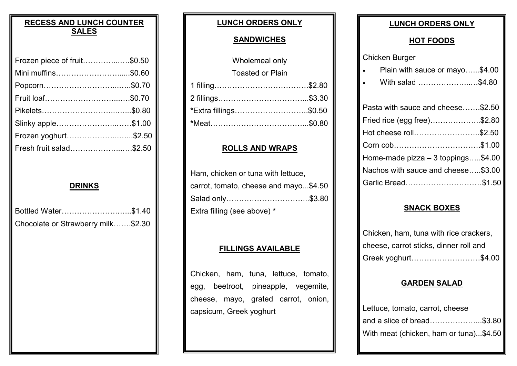#### **RECESS AND LUNCH COUNTER SALES**

| Frozen piece of fruit\$0.50 |  |
|-----------------------------|--|
| Mini muffins\$0.60          |  |
|                             |  |
| Fruit loaf\$0.70            |  |
|                             |  |
| Slinky apple\$1.00          |  |
| Frozen yoghurt\$2.50        |  |
| Fresh fruit salad\$2.50     |  |

#### **DRINKS**

| Bottled Water\$1.40                |  |
|------------------------------------|--|
| Chocolate or Strawberry milk\$2.30 |  |

#### **LUNCH ORDERS ONLY**

#### **SANDWICHES**

| Wholemeal only               |  |
|------------------------------|--|
| <b>Toasted or Plain</b>      |  |
|                              |  |
| 2 fillings………………………………\$3.30 |  |
| *Extra fillings\$0.50        |  |
| *Meat…………………………………\$0.80     |  |
|                              |  |

#### **ROLLS AND WRAPS**

| Ham, chicken or tuna with lettuce,    |  |  |  |
|---------------------------------------|--|--|--|
| carrot, tomato, cheese and mayo\$4.50 |  |  |  |
| Salad only\$3.80                      |  |  |  |
| Extra filling (see above) *           |  |  |  |

#### **FILLINGS AVAILABLE**

Chicken, ham, tuna, lettuce, tomato, egg, beetroot, pineapple, vegemite, cheese, mayo, grated carrot, onion, capsicum, Greek yoghurt

#### **LUNCH ORDERS ONLY**

#### **HOT FOODS**

Chicken Burger

|  | Plain with sauce or mayo\$4.00 |  |
|--|--------------------------------|--|
|--|--------------------------------|--|

• With salad ………………...…\$4.80

| Pasta with sauce and cheese\$2.50   |  |
|-------------------------------------|--|
| Fried rice (egg free)\$2.80         |  |
| Hot cheese roll\$2.50               |  |
| Corn cob\$1.00                      |  |
| Home-made pizza $-3$ toppings\$4.00 |  |
| Nachos with sauce and cheese\$3.00  |  |
| Garlic Bread\$1.50                  |  |

#### **SNACK BOXES**

| Chicken, ham, tuna with rice crackers, |
|----------------------------------------|
| cheese, carrot sticks, dinner roll and |
| Greek yoghurt\$4.00                    |

#### **GARDEN SALAD**

| Lettuce, tomato, carrot, cheese        |  |
|----------------------------------------|--|
| and a slice of bread\$3.80             |  |
| With meat (chicken, ham or tuna)\$4.50 |  |